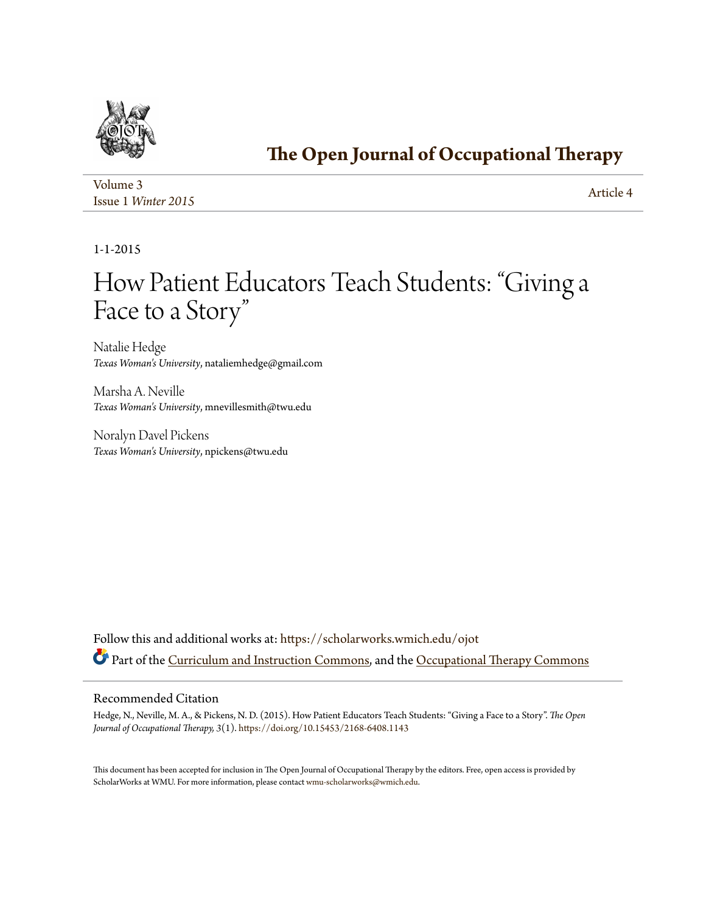

## **[The Open Journal of Occupational Therapy](https://scholarworks.wmich.edu/ojot?utm_source=scholarworks.wmich.edu%2Fojot%2Fvol3%2Fiss1%2F4&utm_medium=PDF&utm_campaign=PDFCoverPages)**

| Volume 3            | Article 4 |
|---------------------|-----------|
| Issue 1 Winter 2015 |           |

1-1-2015

# How Patient Educators Teach Students: "Giving a Face to a Story "

Natalie Hedge *Texas Woman's University*, nataliemhedge@gmail.com

Marsha A. Neville *Texas Woman's University*, mnevillesmith@twu.edu

Noralyn Davel Pickens *Texas Woman's University*, npickens@twu.edu

Follow this and additional works at: [https://scholarworks.wmich.edu/ojot](https://scholarworks.wmich.edu/ojot?utm_source=scholarworks.wmich.edu%2Fojot%2Fvol3%2Fiss1%2F4&utm_medium=PDF&utm_campaign=PDFCoverPages) Part of the [Curriculum and Instruction Commons](http://network.bepress.com/hgg/discipline/786?utm_source=scholarworks.wmich.edu%2Fojot%2Fvol3%2Fiss1%2F4&utm_medium=PDF&utm_campaign=PDFCoverPages), and the [Occupational Therapy Commons](http://network.bepress.com/hgg/discipline/752?utm_source=scholarworks.wmich.edu%2Fojot%2Fvol3%2Fiss1%2F4&utm_medium=PDF&utm_campaign=PDFCoverPages)

### Recommended Citation

Hedge, N., Neville, M. A., & Pickens, N. D. (2015). How Patient Educators Teach Students: "Giving a Face to a Story". *The Open Journal of Occupational Therapy, 3*(1). <https://doi.org/10.15453/2168-6408.1143>

This document has been accepted for inclusion in The Open Journal of Occupational Therapy by the editors. Free, open access is provided by ScholarWorks at WMU. For more information, please contact [wmu-scholarworks@wmich.edu.](mailto:wmu-scholarworks@wmich.edu)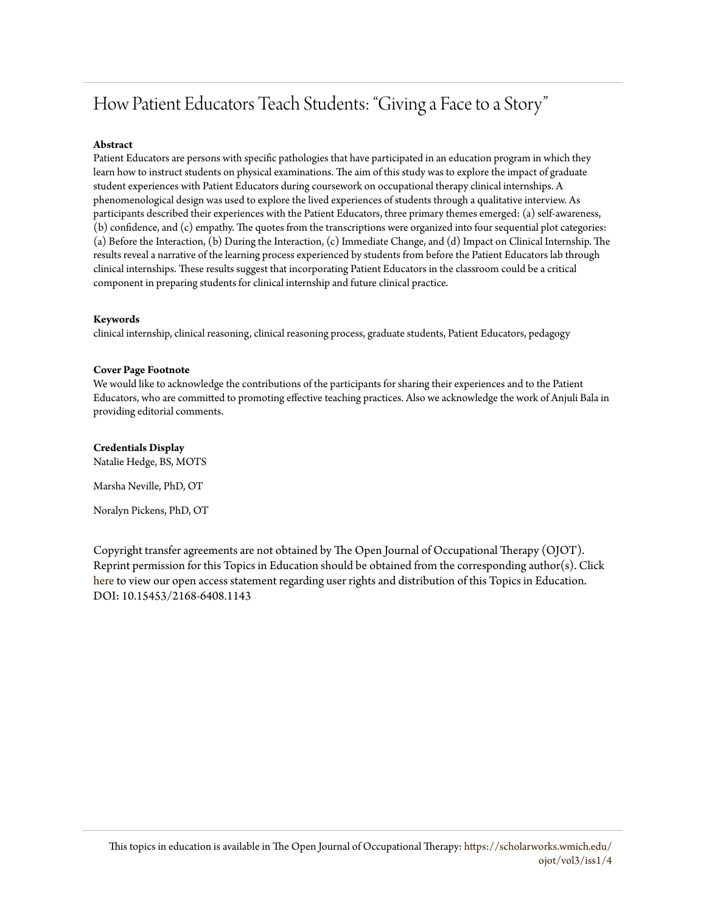## How Patient Educators Teach Students: "Giving a Face to a Story"

#### **Abstract**

Patient Educators are persons with specific pathologies that have participated in an education program in which they learn how to instruct students on physical examinations. The aim of this study was to explore the impact of graduate student experiences with Patient Educators during coursework on occupational therapy clinical internships. A phenomenological design was used to explore the lived experiences of students through a qualitative interview. As participants described their experiences with the Patient Educators, three primary themes emerged: (a) self-awareness, (b) confidence, and (c) empathy. The quotes from the transcriptions were organized into four sequential plot categories: (a) Before the Interaction, (b) During the Interaction, (c) Immediate Change, and (d) Impact on Clinical Internship. The results reveal a narrative of the learning process experienced by students from before the Patient Educators lab through clinical internships. These results suggest that incorporating Patient Educators in the classroom could be a critical component in preparing students for clinical internship and future clinical practice.

#### **Keywords**

clinical internship, clinical reasoning, clinical reasoning process, graduate students, Patient Educators, pedagogy

#### **Cover Page Footnote**

We would like to acknowledge the contributions of the participants for sharing their experiences and to the Patient Educators, who are committed to promoting effective teaching practices. Also we acknowledge the work of Anjuli Bala in providing editorial comments.

## **Credentials Display**

Natalie Hedge, BS, MOTS

Marsha Neville, PhD, OT

Noralyn Pickens, PhD, OT

Copyright transfer agreements are not obtained by The Open Journal of Occupational Therapy (OJOT). Reprint permission for this Topics in Education should be obtained from the corresponding author(s). Click [here](https://scholarworks.wmich.edu/ojot/policies.html#rights) to view our open access statement regarding user rights and distribution of this Topics in Education. DOI: 10.15453/2168-6408.1143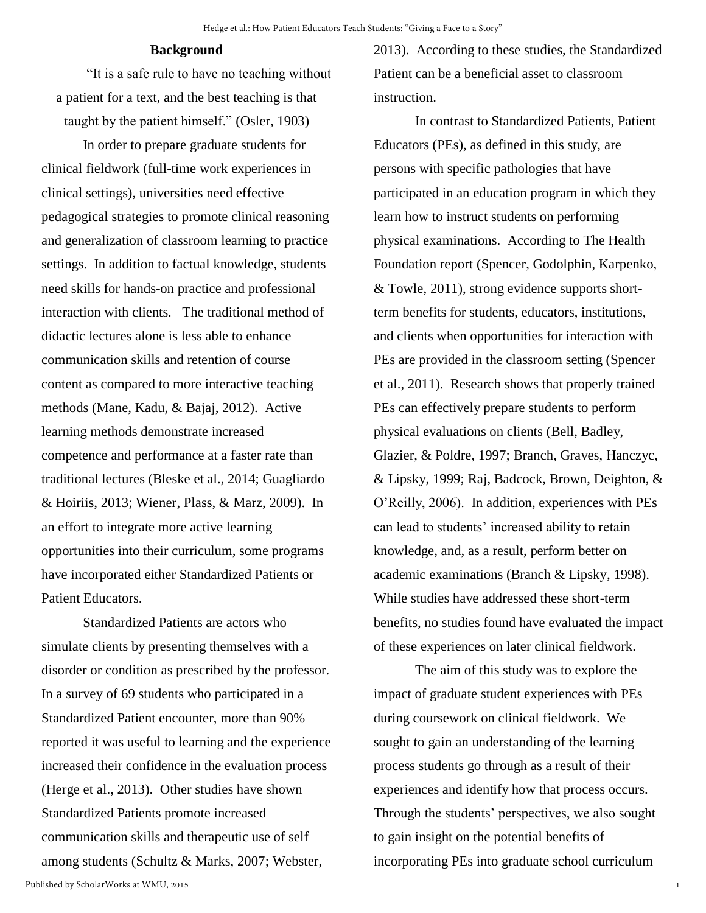## **Background**

"It is a safe rule to have no teaching without a patient for a text, and the best teaching is that taught by the patient himself." (Osler, 1903)

In order to prepare graduate students for clinical fieldwork (full-time work experiences in clinical settings), universities need effective pedagogical strategies to promote clinical reasoning and generalization of classroom learning to practice settings. In addition to factual knowledge, students need skills for hands-on practice and professional interaction with clients. The traditional method of didactic lectures alone is less able to enhance communication skills and retention of course content as compared to more interactive teaching methods (Mane, Kadu, & Bajaj, 2012). Active learning methods demonstrate increased competence and performance at a faster rate than traditional lectures (Bleske et al., 2014; Guagliardo & Hoiriis, 2013; Wiener, Plass, & Marz, 2009). In an effort to integrate more active learning opportunities into their curriculum, some programs have incorporated either Standardized Patients or Patient Educators.

Standardized Patients are actors who simulate clients by presenting themselves with a disorder or condition as prescribed by the professor. In a survey of 69 students who participated in a Standardized Patient encounter, more than 90% reported it was useful to learning and the experience increased their confidence in the evaluation process (Herge et al., 2013). Other studies have shown Standardized Patients promote increased communication skills and therapeutic use of self among students (Schultz & Marks, 2007; Webster,

In contrast to Standardized Patients, Patient Educators (PEs), as defined in this study, are persons with specific pathologies that have participated in an education program in which they learn how to instruct students on performing physical examinations. According to The Health Foundation report (Spencer, Godolphin, Karpenko, & Towle, 2011), strong evidence supports shortterm benefits for students, educators, institutions, and clients when opportunities for interaction with PEs are provided in the classroom setting (Spencer et al., 2011). Research shows that properly trained PEs can effectively prepare students to perform physical evaluations on clients (Bell, Badley, Glazier, & Poldre, 1997; Branch, Graves, Hanczyc, & Lipsky, 1999; Raj, Badcock, Brown, Deighton, & O'Reilly, 2006). In addition, experiences with PEs can lead to students' increased ability to retain knowledge, and, as a result, perform better on academic examinations (Branch & Lipsky, 1998). While studies have addressed these short-term benefits, no studies found have evaluated the impact of these experiences on later clinical fieldwork.

The aim of this study was to explore the impact of graduate student experiences with PEs during coursework on clinical fieldwork. We sought to gain an understanding of the learning process students go through as a result of their experiences and identify how that process occurs. Through the students' perspectives, we also sought to gain insight on the potential benefits of incorporating PEs into graduate school curriculum

1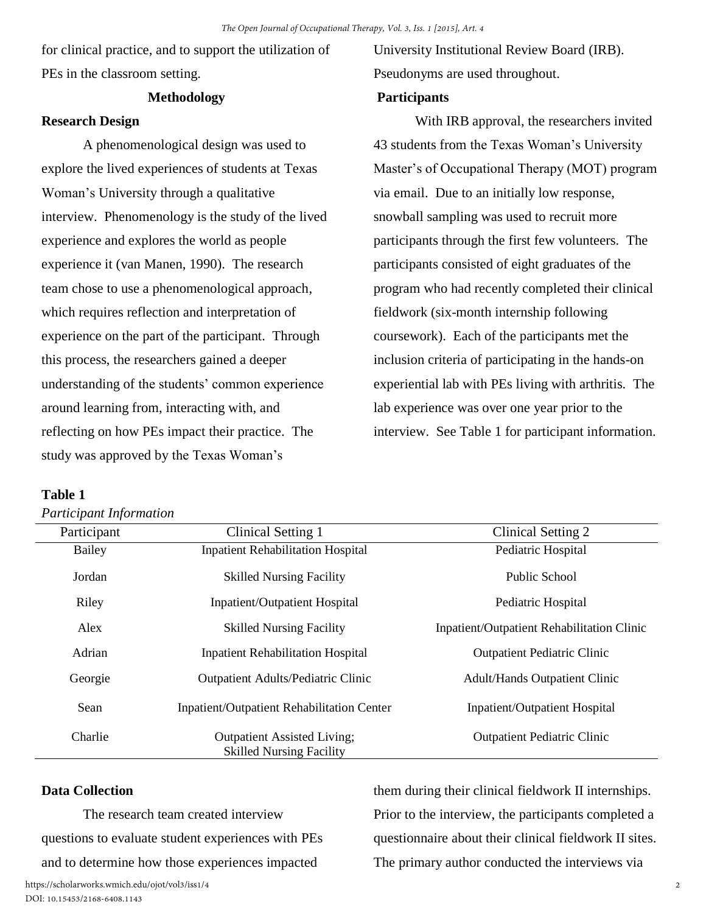for clinical practice, and to support the utilization of PEs in the classroom setting.

## **Methodology**

## **Research Design**

A phenomenological design was used to explore the lived experiences of students at Texas Woman's University through a qualitative interview. Phenomenology is the study of the lived experience and explores the world as people experience it (van Manen, 1990). The research team chose to use a phenomenological approach, which requires reflection and interpretation of experience on the part of the participant. Through this process, the researchers gained a deeper understanding of the students' common experience around learning from, interacting with, and reflecting on how PEs impact their practice. The study was approved by the Texas Woman's

## University Institutional Review Board (IRB). Pseudonyms are used throughout.

## **Participants**

With IRB approval, the researchers invited 43 students from the Texas Woman's University Master's of Occupational Therapy (MOT) program via email. Due to an initially low response, snowball sampling was used to recruit more participants through the first few volunteers. The participants consisted of eight graduates of the program who had recently completed their clinical fieldwork (six-month internship following coursework). Each of the participants met the inclusion criteria of participating in the hands-on experiential lab with PEs living with arthritis. The lab experience was over one year prior to the interview. See Table 1 for participant information.

## **Table 1**

*Participant Information* 

| Participant   | Clinical Setting 1                                                    | Clinical Setting 2                                |
|---------------|-----------------------------------------------------------------------|---------------------------------------------------|
| <b>Bailey</b> | <b>Inpatient Rehabilitation Hospital</b>                              | Pediatric Hospital                                |
| Jordan        | <b>Skilled Nursing Facility</b>                                       | Public School                                     |
| Riley         | <b>Inpatient/Outpatient Hospital</b>                                  | Pediatric Hospital                                |
| Alex          | <b>Skilled Nursing Facility</b>                                       | <b>Inpatient/Outpatient Rehabilitation Clinic</b> |
| Adrian        | <b>Inpatient Rehabilitation Hospital</b>                              | <b>Outpatient Pediatric Clinic</b>                |
| Georgie       | <b>Outpatient Adults/Pediatric Clinic</b>                             | <b>Adult/Hands Outpatient Clinic</b>              |
| Sean          | <b>Inpatient/Outpatient Rehabilitation Center</b>                     | <b>Inpatient/Outpatient Hospital</b>              |
| Charlie       | <b>Outpatient Assisted Living;</b><br><b>Skilled Nursing Facility</b> | <b>Outpatient Pediatric Clinic</b>                |

## **Data Collection**

The research team created interview questions to evaluate student experiences with PEs and to determine how those experiences impacted

them during their clinical fieldwork II internships. Prior to the interview, the participants completed a questionnaire about their clinical fieldwork II sites. The primary author conducted the interviews via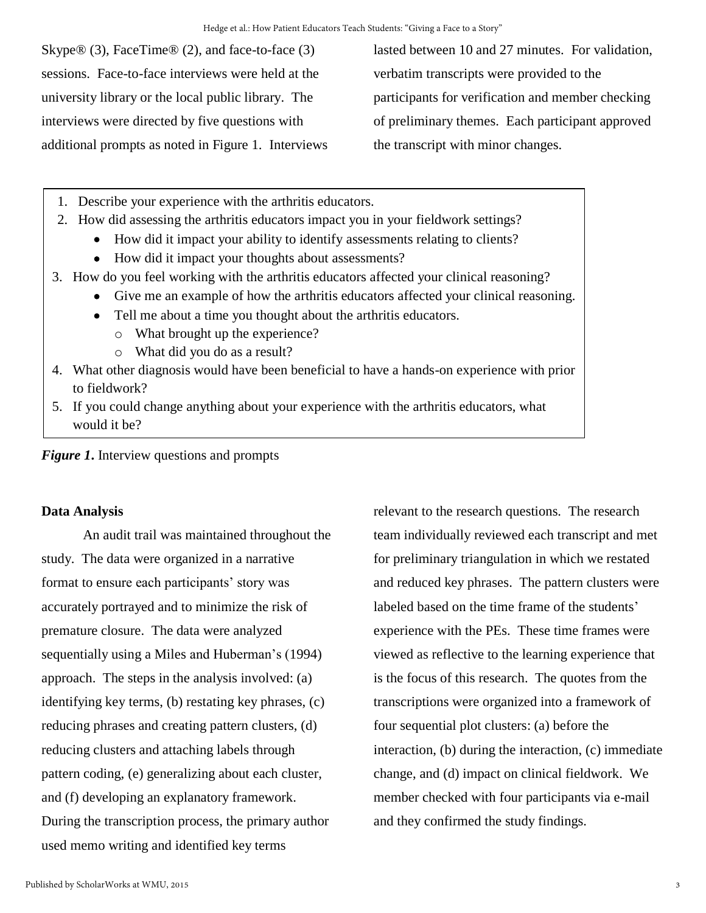Skype® (3), FaceTime® (2), and face-to-face (3) sessions. Face-to-face interviews were held at the university library or the local public library. The interviews were directed by five questions with additional prompts as noted in Figure 1. Interviews lasted between 10 and 27 minutes. For validation, verbatim transcripts were provided to the participants for verification and member checking of preliminary themes. Each participant approved the transcript with minor changes.

- 1. Describe your experience with the arthritis educators.
- 2. How did assessing the arthritis educators impact you in your fieldwork settings?
	- How did it impact your ability to identify assessments relating to clients?
	- How did it impact your thoughts about assessments?
- 3. How do you feel working with the arthritis educators affected your clinical reasoning?
	- Give me an example of how the arthritis educators affected your clinical reasoning.
		- Tell me about a time you thought about the arthritis educators.
			- o What brought up the experience?
			- o What did you do as a result?
- 4. What other diagnosis would have been beneficial to have a hands-on experience with prior to fieldwork?
- 5. If you could change anything about your experience with the arthritis educators, what would it be?

*Figure 1***.** Interview questions and prompts

## **Data Analysis**

An audit trail was maintained throughout the study. The data were organized in a narrative format to ensure each participants' story was accurately portrayed and to minimize the risk of premature closure. The data were analyzed sequentially using a Miles and Huberman's (1994) approach. The steps in the analysis involved: (a) identifying key terms, (b) restating key phrases, (c) reducing phrases and creating pattern clusters, (d) reducing clusters and attaching labels through pattern coding, (e) generalizing about each cluster, and (f) developing an explanatory framework. During the transcription process, the primary author used memo writing and identified key terms

relevant to the research questions. The research team individually reviewed each transcript and met for preliminary triangulation in which we restated and reduced key phrases. The pattern clusters were labeled based on the time frame of the students' experience with the PEs. These time frames were viewed as reflective to the learning experience that is the focus of this research. The quotes from the transcriptions were organized into a framework of four sequential plot clusters: (a) before the interaction, (b) during the interaction, (c) immediate change, and (d) impact on clinical fieldwork. We member checked with four participants via e-mail and they confirmed the study findings.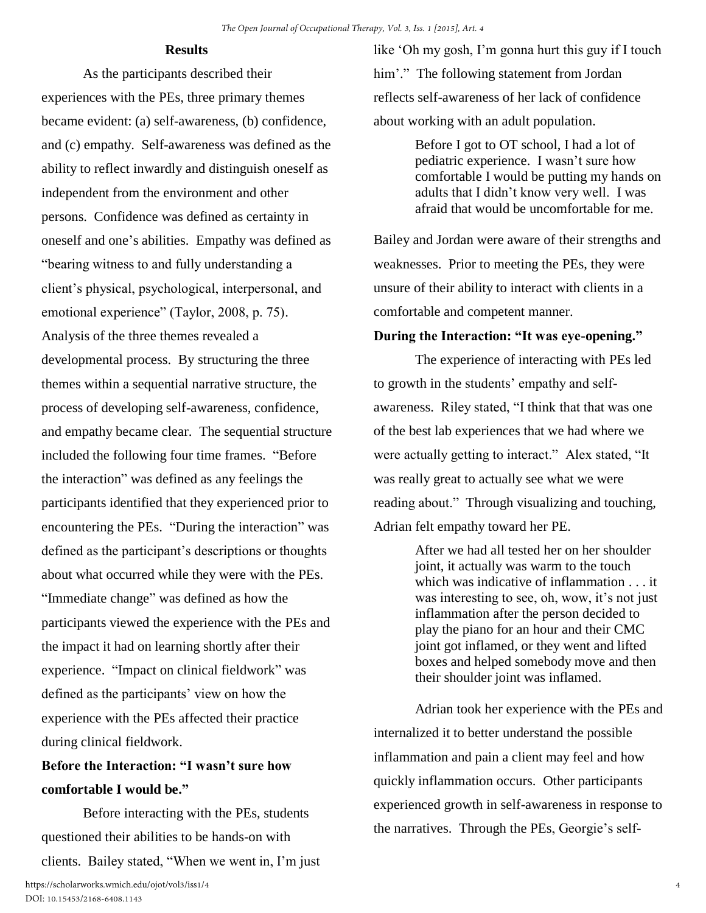## **Results**

As the participants described their experiences with the PEs, three primary themes became evident: (a) self-awareness, (b) confidence, and (c) empathy. Self-awareness was defined as the ability to reflect inwardly and distinguish oneself as independent from the environment and other persons. Confidence was defined as certainty in oneself and one's abilities. Empathy was defined as "bearing witness to and fully understanding a client's physical, psychological, interpersonal, and emotional experience" (Taylor, 2008, p. 75). Analysis of the three themes revealed a developmental process. By structuring the three themes within a sequential narrative structure, the process of developing self-awareness, confidence, and empathy became clear. The sequential structure included the following four time frames. "Before the interaction" was defined as any feelings the participants identified that they experienced prior to encountering the PEs. "During the interaction" was defined as the participant's descriptions or thoughts about what occurred while they were with the PEs. "Immediate change" was defined as how the participants viewed the experience with the PEs and the impact it had on learning shortly after their experience. "Impact on clinical fieldwork" was defined as the participants' view on how the experience with the PEs affected their practice during clinical fieldwork.

## **Before the Interaction: "I wasn't sure how comfortable I would be."**

Before interacting with the PEs, students questioned their abilities to be hands-on with clients. Bailey stated, "When we went in, I'm just like 'Oh my gosh, I'm gonna hurt this guy if I touch him'." The following statement from Jordan reflects self-awareness of her lack of confidence about working with an adult population.

> Before I got to OT school, I had a lot of pediatric experience. I wasn't sure how comfortable I would be putting my hands on adults that I didn't know very well. I was afraid that would be uncomfortable for me.

Bailey and Jordan were aware of their strengths and weaknesses. Prior to meeting the PEs, they were unsure of their ability to interact with clients in a comfortable and competent manner.

## **During the Interaction: "It was eye-opening."**

The experience of interacting with PEs led to growth in the students' empathy and selfawareness. Riley stated, "I think that that was one of the best lab experiences that we had where we were actually getting to interact." Alex stated, "It was really great to actually see what we were reading about." Through visualizing and touching, Adrian felt empathy toward her PE.

> After we had all tested her on her shoulder joint, it actually was warm to the touch which was indicative of inflammation . . . it was interesting to see, oh, wow, it's not just inflammation after the person decided to play the piano for an hour and their CMC joint got inflamed, or they went and lifted boxes and helped somebody move and then their shoulder joint was inflamed.

Adrian took her experience with the PEs and internalized it to better understand the possible inflammation and pain a client may feel and how quickly inflammation occurs. Other participants experienced growth in self-awareness in response to the narratives. Through the PEs, Georgie's self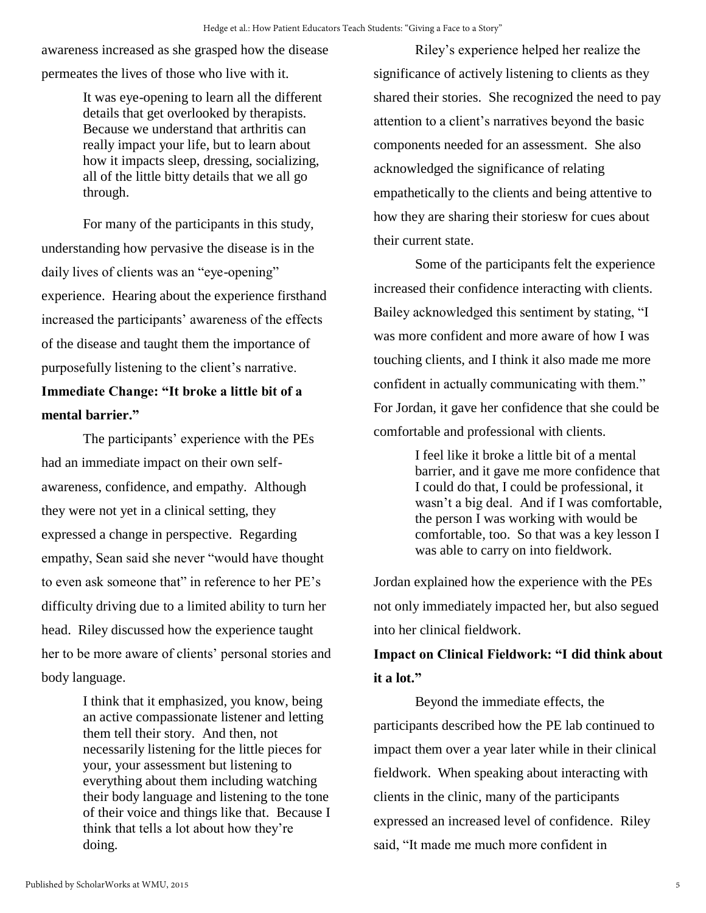awareness increased as she grasped how the disease permeates the lives of those who live with it.

> It was eye-opening to learn all the different details that get overlooked by therapists. Because we understand that arthritis can really impact your life, but to learn about how it impacts sleep, dressing, socializing, all of the little bitty details that we all go through.

 For many of the participants in this study, understanding how pervasive the disease is in the daily lives of clients was an "eye-opening" experience. Hearing about the experience firsthand increased the participants' awareness of the effects of the disease and taught them the importance of purposefully listening to the client's narrative.

## **Immediate Change: "It broke a little bit of a mental barrier."**

The participants' experience with the PEs had an immediate impact on their own selfawareness, confidence, and empathy. Although they were not yet in a clinical setting, they expressed a change in perspective. Regarding empathy, Sean said she never "would have thought to even ask someone that" in reference to her PE's difficulty driving due to a limited ability to turn her head. Riley discussed how the experience taught her to be more aware of clients' personal stories and body language.

> I think that it emphasized, you know, being an active compassionate listener and letting them tell their story. And then, not necessarily listening for the little pieces for your, your assessment but listening to everything about them including watching their body language and listening to the tone of their voice and things like that. Because I think that tells a lot about how they're doing.

Riley's experience helped her realize the significance of actively listening to clients as they shared their stories. She recognized the need to pay attention to a client's narratives beyond the basic components needed for an assessment. She also acknowledged the significance of relating empathetically to the clients and being attentive to how they are sharing their storiesw for cues about their current state.

 Some of the participants felt the experience increased their confidence interacting with clients. Bailey acknowledged this sentiment by stating, "I was more confident and more aware of how I was touching clients, and I think it also made me more confident in actually communicating with them." For Jordan, it gave her confidence that she could be

comfortable and professional with clients.

I feel like it broke a little bit of a mental barrier, and it gave me more confidence that I could do that, I could be professional, it wasn't a big deal. And if I was comfortable, the person I was working with would be comfortable, too. So that was a key lesson I was able to carry on into fieldwork.

Jordan explained how the experience with the PEs not only immediately impacted her, but also segued into her clinical fieldwork.

## **Impact on Clinical Fieldwork: "I did think about it a lot."**

 Beyond the immediate effects, the participants described how the PE lab continued to impact them over a year later while in their clinical fieldwork. When speaking about interacting with clients in the clinic, many of the participants expressed an increased level of confidence. Riley said, "It made me much more confident in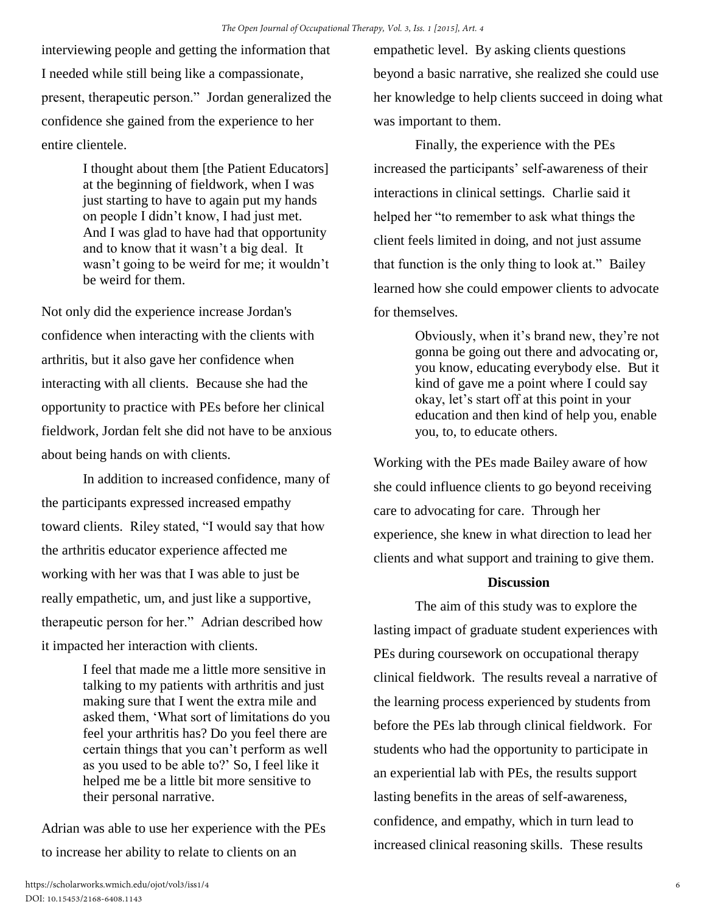interviewing people and getting the information that I needed while still being like a compassionate, present, therapeutic person." Jordan generalized the confidence she gained from the experience to her entire clientele.

> I thought about them [the Patient Educators] at the beginning of fieldwork, when I was just starting to have to again put my hands on people I didn't know, I had just met. And I was glad to have had that opportunity and to know that it wasn't a big deal. It wasn't going to be weird for me; it wouldn't be weird for them.

Not only did the experience increase Jordan's confidence when interacting with the clients with arthritis, but it also gave her confidence when interacting with all clients. Because she had the opportunity to practice with PEs before her clinical fieldwork, Jordan felt she did not have to be anxious about being hands on with clients.

 In addition to increased confidence, many of the participants expressed increased empathy toward clients. Riley stated, "I would say that how the arthritis educator experience affected me working with her was that I was able to just be really empathetic, um, and just like a supportive, therapeutic person for her." Adrian described how it impacted her interaction with clients.

> I feel that made me a little more sensitive in talking to my patients with arthritis and just making sure that I went the extra mile and asked them, 'What sort of limitations do you feel your arthritis has? Do you feel there are certain things that you can't perform as well as you used to be able to?' So, I feel like it helped me be a little bit more sensitive to their personal narrative.

Adrian was able to use her experience with the PEs to increase her ability to relate to clients on an

empathetic level. By asking clients questions beyond a basic narrative, she realized she could use her knowledge to help clients succeed in doing what was important to them.

 Finally, the experience with the PEs increased the participants' self-awareness of their interactions in clinical settings. Charlie said it helped her "to remember to ask what things the client feels limited in doing, and not just assume that function is the only thing to look at." Bailey learned how she could empower clients to advocate for themselves.

> Obviously, when it's brand new, they're not gonna be going out there and advocating or, you know, educating everybody else. But it kind of gave me a point where I could say okay, let's start off at this point in your education and then kind of help you, enable you, to, to educate others.

Working with the PEs made Bailey aware of how she could influence clients to go beyond receiving care to advocating for care. Through her experience, she knew in what direction to lead her clients and what support and training to give them.

### **Discussion**

 The aim of this study was to explore the lasting impact of graduate student experiences with PEs during coursework on occupational therapy clinical fieldwork. The results reveal a narrative of the learning process experienced by students from before the PEs lab through clinical fieldwork. For students who had the opportunity to participate in an experiential lab with PEs, the results support lasting benefits in the areas of self-awareness, confidence, and empathy, which in turn lead to increased clinical reasoning skills. These results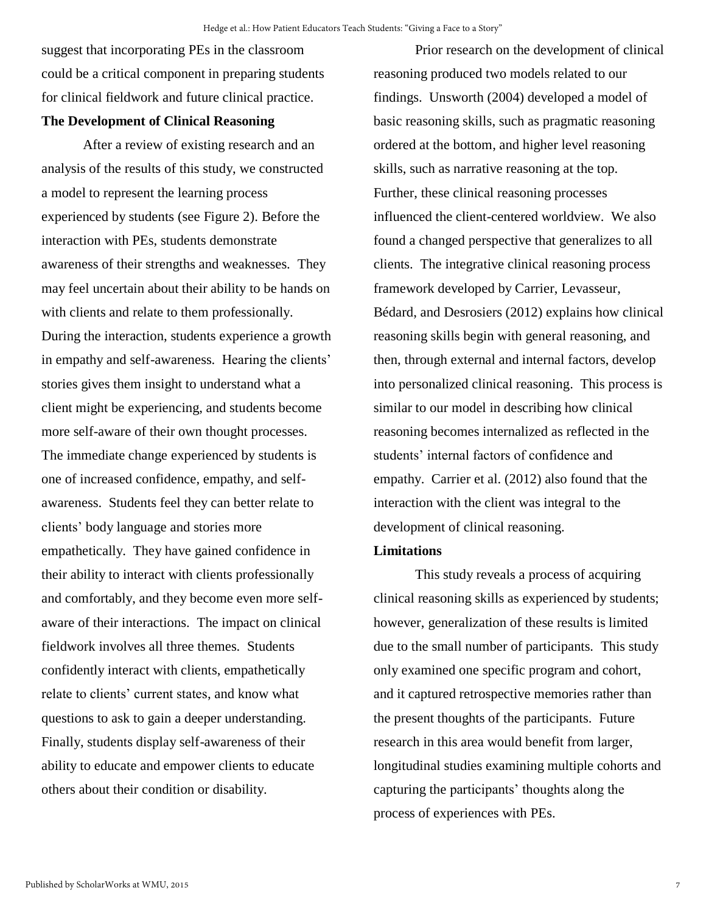suggest that incorporating PEs in the classroom could be a critical component in preparing students for clinical fieldwork and future clinical practice.

## **The Development of Clinical Reasoning**

 After a review of existing research and an analysis of the results of this study, we constructed a model to represent the learning process experienced by students (see Figure 2). Before the interaction with PEs, students demonstrate awareness of their strengths and weaknesses. They may feel uncertain about their ability to be hands on with clients and relate to them professionally. During the interaction, students experience a growth in empathy and self-awareness. Hearing the clients' stories gives them insight to understand what a client might be experiencing, and students become more self-aware of their own thought processes. The immediate change experienced by students is one of increased confidence, empathy, and selfawareness. Students feel they can better relate to clients' body language and stories more empathetically. They have gained confidence in their ability to interact with clients professionally and comfortably, and they become even more selfaware of their interactions. The impact on clinical fieldwork involves all three themes. Students confidently interact with clients, empathetically relate to clients' current states, and know what questions to ask to gain a deeper understanding. Finally, students display self-awareness of their ability to educate and empower clients to educate others about their condition or disability.

Prior research on the development of clinical reasoning produced two models related to our findings. Unsworth (2004) developed a model of basic reasoning skills, such as pragmatic reasoning ordered at the bottom, and higher level reasoning skills, such as narrative reasoning at the top. Further, these clinical reasoning processes influenced the client-centered worldview. We also found a changed perspective that generalizes to all clients. The integrative clinical reasoning process framework developed by Carrier, Levasseur, Bédard, and Desrosiers (2012) explains how clinical reasoning skills begin with general reasoning, and then, through external and internal factors, develop into personalized clinical reasoning. This process is similar to our model in describing how clinical reasoning becomes internalized as reflected in the students' internal factors of confidence and empathy. Carrier et al. (2012) also found that the interaction with the client was integral to the development of clinical reasoning.

## **Limitations**

This study reveals a process of acquiring clinical reasoning skills as experienced by students; however, generalization of these results is limited due to the small number of participants. This study only examined one specific program and cohort, and it captured retrospective memories rather than the present thoughts of the participants. Future research in this area would benefit from larger, longitudinal studies examining multiple cohorts and capturing the participants' thoughts along the process of experiences with PEs.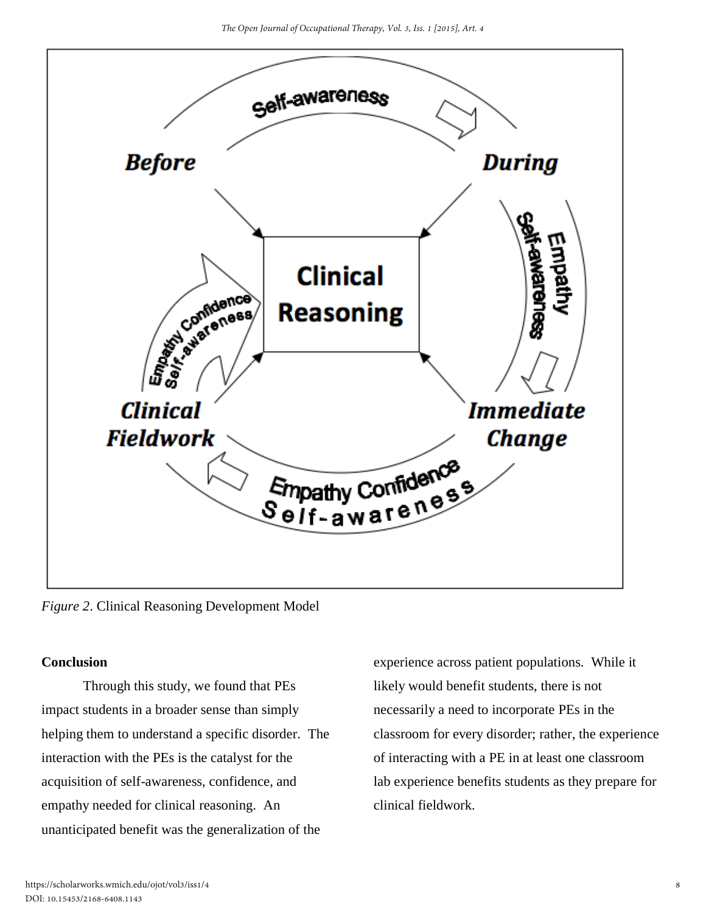

*Figure 2*. Clinical Reasoning Development Model

## **Conclusion**

 Through this study, we found that PEs impact students in a broader sense than simply helping them to understand a specific disorder. The interaction with the PEs is the catalyst for the acquisition of self-awareness, confidence, and empathy needed for clinical reasoning. An unanticipated benefit was the generalization of the

experience across patient populations. While it likely would benefit students, there is not necessarily a need to incorporate PEs in the classroom for every disorder; rather, the experience of interacting with a PE in at least one classroom lab experience benefits students as they prepare for clinical fieldwork.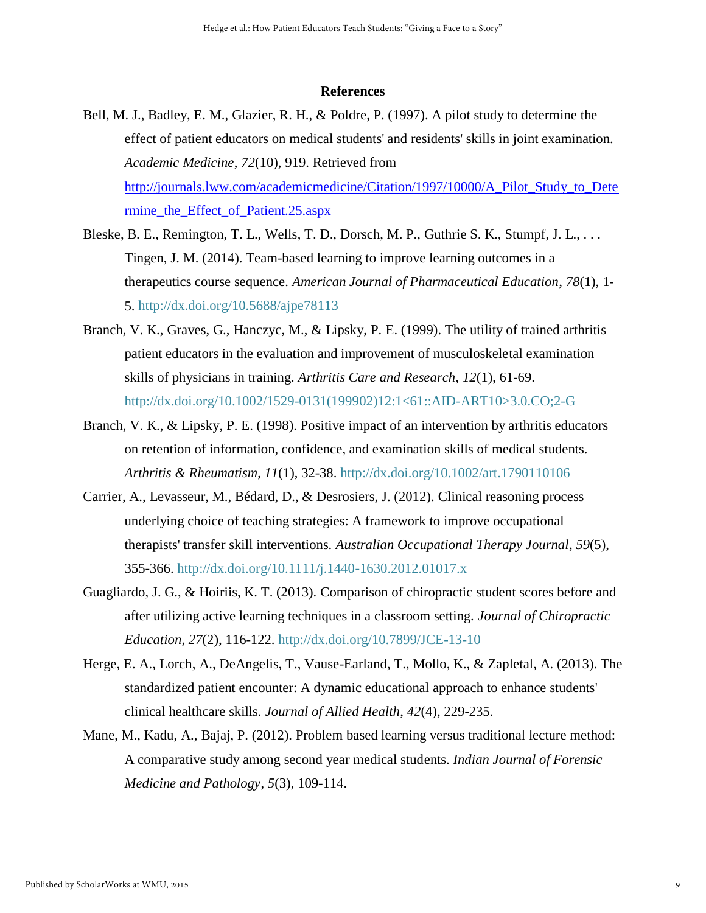#### **References**

- Bell, M. J., Badley, E. M., Glazier, R. H., & Poldre, P. (1997). A pilot study to determine the effect of patient educators on medical students' and residents' skills in joint examination. *Academic Medicine*, *72*(10)*,* 919. Retrieved from [http://journals.lww.com/academicmedicine/Citation/1997/10000/A\\_Pilot\\_Study\\_to\\_Dete](http://journals.lww.com/academicmedicine/Citation/1997/10000/A_Pilot_Study_to_Determine_the_Effect_of_Patient.25.aspx) [rmine\\_the\\_Effect\\_of\\_Patient.25.aspx](http://journals.lww.com/academicmedicine/Citation/1997/10000/A_Pilot_Study_to_Determine_the_Effect_of_Patient.25.aspx)
- Bleske, B. E., Remington, T. L., Wells, T. D., Dorsch, M. P., Guthrie S. K., Stumpf, J. L., . . . Tingen, J. M. (2014). Team-based learning to improve learning outcomes in a therapeutics course sequence. *American Journal of Pharmaceutical Education*, *78*(1), 1- 5.<http://dx.doi.org/10.5688/ajpe78113>
- Branch, V. K., Graves, G., Hanczyc, M., & Lipsky, P. E. (1999). The utility of trained arthritis patient educators in the evaluation and improvement of musculoskeletal examination skills of physicians in training. *Arthritis Care and Research*, *12*(1), 61-69. [http://dx.doi.org/10.1002/1529-0131\(199902\)12:1<61::AID-ART10>3.0.CO;2-G](http://dx.doi.org/10.1002/1529-0131(199902)12:1%3C61::AID-ART10%3E3.0.CO;2-G)
- Branch, V. K., & Lipsky, P. E. (1998). Positive impact of an intervention by arthritis educators on retention of information, confidence, and examination skills of medical students. *Arthritis & Rheumatism*, *11*(1), 32-38.<http://dx.doi.org/10.1002/art.1790110106>
- Carrier, A., Levasseur, M., Bédard, D., & Desrosiers, J. (2012). Clinical reasoning process underlying choice of teaching strategies: A framework to improve occupational therapists' transfer skill interventions. *Australian Occupational Therapy Journal*, *59*(5), 355-366. <http://dx.doi.org/10.1111/j.1440-1630.2012.01017.x>
- Guagliardo, J. G., & Hoiriis, K. T. (2013). Comparison of chiropractic student scores before and after utilizing active learning techniques in a classroom setting. *Journal of Chiropractic Education*, *27*(2), 116-122. <http://dx.doi.org/10.7899/JCE-13-10>
- Herge, E. A., Lorch, A., DeAngelis, T., Vause-Earland, T., Mollo, K., & Zapletal, A. (2013). The standardized patient encounter: A dynamic educational approach to enhance students' clinical healthcare skills. *Journal of Allied Health*, *42*(4), 229-235.
- Mane, M., Kadu, A., Bajaj, P. (2012). Problem based learning versus traditional lecture method: A comparative study among second year medical students. *Indian Journal of Forensic Medicine and Pathology*, *5*(3), 109-114.